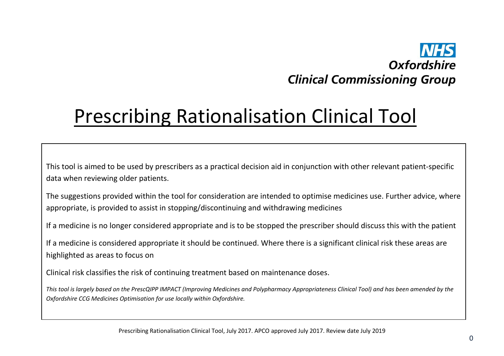## Oxfordshire **Clinical Commissioning Group**

## Prescribing Rationalisation Clinical Tool

This tool is aimed to be used by prescribers as a practical decision aid in conjunction with other relevant patient-specific data when reviewing older patients.

The suggestions provided within the tool for consideration are intended to optimise medicines use. Further advice, where appropriate, is provided to assist in stopping/discontinuing and withdrawing medicines

If a medicine is no longer considered appropriate and is to be stopped the prescriber should discuss this with the patient

If a medicine is considered appropriate it should be continued. Where there is a significant clinical risk these areas are highlighted as areas to focus on

Clinical risk classifies the risk of continuing treatment based on maintenance doses.

*This tool is largely based on the PrescQIPP IMPACT (Improving Medicines and Polypharmacy Appropriateness Clinical Tool) and has been amended by the Oxfordshire CCG Medicines Optimisation for use locally within Oxfordshire.*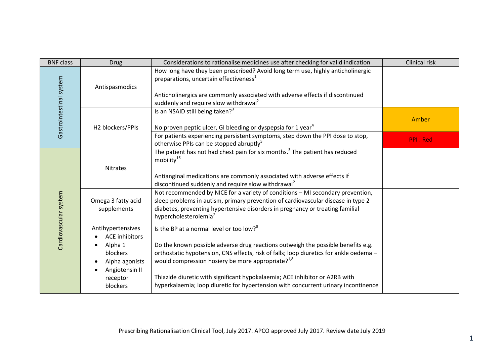| <b>BNF class</b>        | <b>Drug</b>                                                                                                                   | Considerations to rationalise medicines use after checking for valid indication                                                                                                                                                                                                                                                                                                                                                                                                                                                                            | Clinical risk   |
|-------------------------|-------------------------------------------------------------------------------------------------------------------------------|------------------------------------------------------------------------------------------------------------------------------------------------------------------------------------------------------------------------------------------------------------------------------------------------------------------------------------------------------------------------------------------------------------------------------------------------------------------------------------------------------------------------------------------------------------|-----------------|
| Gastrointestinal system | Antispasmodics                                                                                                                | How long have they been prescribed? Avoid long term use, highly anticholinergic<br>preparations, uncertain effectiveness <sup>1</sup><br>Anticholinergics are commonly associated with adverse effects if discontinued<br>suddenly and require slow withdrawal <sup>2</sup>                                                                                                                                                                                                                                                                                |                 |
|                         | H2 blockers/PPIs                                                                                                              | Is an NSAID still being taken? <sup>3</sup><br>No proven peptic ulcer, GI bleeding or dyspepsia for 1 year <sup>4</sup>                                                                                                                                                                                                                                                                                                                                                                                                                                    | Amber           |
|                         |                                                                                                                               | For patients experiencing persistent symptoms, step down the PPI dose to stop,<br>otherwise PPIs can be stopped abruptly <sup>5</sup>                                                                                                                                                                                                                                                                                                                                                                                                                      | <b>PPI: Red</b> |
| Cardiovascular system   | <b>Nitrates</b><br>Omega 3 fatty acid<br>supplements                                                                          | The patient has not had chest pain for six months. <sup>3</sup> The patient has reduced<br>mobility <sup>16</sup><br>Antianginal medications are commonly associated with adverse effects if<br>discontinued suddenly and require slow withdrawal <sup>2</sup><br>Not recommended by NICE for a variety of conditions - MI secondary prevention,<br>sleep problems in autism, primary prevention of cardiovascular disease in type 2<br>diabetes, preventing hypertensive disorders in pregnancy or treating familial<br>hypercholesterolemia <sup>7</sup> |                 |
|                         | Antihypertensives<br><b>ACE</b> inhibitors<br>Alpha 1<br>blockers<br>Alpha agonists<br>Angiotensin II<br>receptor<br>blockers | Is the BP at a normal level or too low? <sup>8</sup><br>Do the known possible adverse drug reactions outweigh the possible benefits e.g.<br>orthostatic hypotension, CNS effects, risk of falls; loop diuretics for ankle oedema -<br>would compression hosiery be more appropriate? <sup>1,8</sup><br>Thiazide diuretic with significant hypokalaemia; ACE inhibitor or A2RB with<br>hyperkalaemia; loop diuretic for hypertension with concurrent urinary incontinence                                                                                   |                 |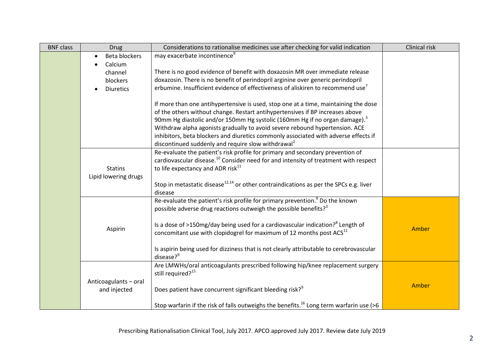| <b>BNF class</b> | <b>Drug</b>                            | Considerations to rationalise medicines use after checking for valid indication                                                                                                                                                                                                                                                                                                                                                                                                                        | Clinical risk |
|------------------|----------------------------------------|--------------------------------------------------------------------------------------------------------------------------------------------------------------------------------------------------------------------------------------------------------------------------------------------------------------------------------------------------------------------------------------------------------------------------------------------------------------------------------------------------------|---------------|
|                  | <b>Beta blockers</b>                   | may exacerbate incontinence <sup>9</sup>                                                                                                                                                                                                                                                                                                                                                                                                                                                               |               |
|                  | Calcium                                |                                                                                                                                                                                                                                                                                                                                                                                                                                                                                                        |               |
|                  | channel                                | There is no good evidence of benefit with doxazosin MR over immediate release                                                                                                                                                                                                                                                                                                                                                                                                                          |               |
|                  | blockers                               | doxazosin. There is no benefit of perindopril arginine over generic perindopril                                                                                                                                                                                                                                                                                                                                                                                                                        |               |
|                  | <b>Diuretics</b>                       | erbumine. Insufficient evidence of effectiveness of aliskiren to recommend use <sup>7</sup>                                                                                                                                                                                                                                                                                                                                                                                                            |               |
|                  |                                        | If more than one antihypertensive is used, stop one at a time, maintaining the dose<br>of the others without change. Restart antihypertensives if BP increases above<br>90mm Hg diastolic and/or 150mm Hg systolic (160mm Hg if no organ damage). <sup>3</sup><br>Withdraw alpha agonists gradually to avoid severe rebound hypertension. ACE<br>inhibitors, beta blockers and diuretics commonly associated with adverse effects if<br>discontinued suddenly and require slow withdrawal <sup>2</sup> |               |
|                  |                                        | Re-evaluate the patient's risk profile for primary and secondary prevention of                                                                                                                                                                                                                                                                                                                                                                                                                         |               |
|                  | <b>Statins</b><br>Lipid lowering drugs | cardiovascular disease. <sup>10</sup> Consider need for and intensity of treatment with respect<br>to life expectancy and ADR risk <sup>11</sup>                                                                                                                                                                                                                                                                                                                                                       |               |
|                  |                                        | Stop in metastatic disease <sup>12,14</sup> or other contraindications as per the SPCs e.g. liver<br>disease                                                                                                                                                                                                                                                                                                                                                                                           |               |
|                  |                                        | Re-evaluate the patient's risk profile for primary prevention. <sup>9</sup> Do the known<br>possible adverse drug reactions outweigh the possible benefits? <sup>3</sup>                                                                                                                                                                                                                                                                                                                               |               |
|                  | Aspirin                                | Is a dose of >150mg/day being used for a cardiovascular indication? <sup>8</sup> Length of<br>concomitant use with clopidogrel for maximum of 12 months post $ACS11$                                                                                                                                                                                                                                                                                                                                   | Amber         |
|                  |                                        | Is aspirin being used for dizziness that is not clearly attributable to cerebrovascular<br>disease? <sup>9</sup>                                                                                                                                                                                                                                                                                                                                                                                       |               |
|                  |                                        | Are LMWHs/oral anticoagulants prescribed following hip/knee replacement surgery<br>still required? <sup>15</sup>                                                                                                                                                                                                                                                                                                                                                                                       |               |
|                  | Anticoagulants-oral<br>and injected    | Does patient have concurrent significant bleeding risk? <sup>9</sup>                                                                                                                                                                                                                                                                                                                                                                                                                                   | Amber         |
|                  |                                        | Stop warfarin if the risk of falls outweighs the benefits. <sup>16</sup> Long term warfarin use (>6                                                                                                                                                                                                                                                                                                                                                                                                    |               |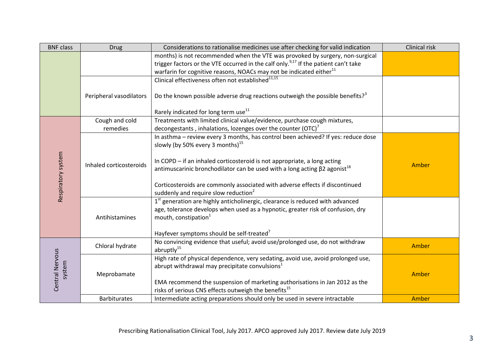| <b>BNF class</b>          | <b>Drug</b>             | Considerations to rationalise medicines use after checking for valid indication                                                                                                                                                                                                                   | Clinical risk |
|---------------------------|-------------------------|---------------------------------------------------------------------------------------------------------------------------------------------------------------------------------------------------------------------------------------------------------------------------------------------------|---------------|
|                           |                         | months) is not recommended when the VTE was provoked by surgery, non-surgical                                                                                                                                                                                                                     |               |
|                           |                         | trigger factors or the VTE occurred in the calf only. <sup>9,17</sup> If the patient can't take                                                                                                                                                                                                   |               |
|                           |                         | warfarin for cognitive reasons, NOACs may not be indicated either <sup>11</sup>                                                                                                                                                                                                                   |               |
|                           |                         | Clinical effectiveness often not established <sup>11,15</sup>                                                                                                                                                                                                                                     |               |
|                           | Peripheral vasodilators | Do the known possible adverse drug reactions outweigh the possible benefits? <sup>3</sup><br>Rarely indicated for long term use <sup>11</sup>                                                                                                                                                     |               |
|                           | Cough and cold          | Treatments with limited clinical value/evidence, purchase cough mixtures,                                                                                                                                                                                                                         |               |
|                           | remedies                | decongestants, inhalations, lozenges over the counter (OTC) <sup>7</sup>                                                                                                                                                                                                                          |               |
|                           |                         | In asthma - review every 3 months, has control been achieved? If yes: reduce dose<br>slowly (by 50% every 3 months) $^{15}$                                                                                                                                                                       |               |
| Respiratory system        | Inhaled corticosteroids | In COPD - if an inhaled corticosteroid is not appropriate, a long acting<br>antimuscarinic bronchodilator can be used with a long acting $\beta$ 2 agonist <sup>18</sup>                                                                                                                          | Amber         |
|                           |                         | Corticosteroids are commonly associated with adverse effects if discontinued<br>suddenly and require slow reduction <sup>2</sup>                                                                                                                                                                  |               |
|                           | Antihistamines          | 1st generation are highly anticholinergic, clearance is reduced with advanced<br>age, tolerance develops when used as a hypnotic, greater risk of confusion, dry<br>mouth, constipation <sup>1</sup><br>Hayfever symptoms should be self-treated <sup>7</sup>                                     |               |
| Central Nervous<br>system | Chloral hydrate         | No convincing evidence that useful; avoid use/prolonged use, do not withdraw<br>abruptly <sup>15</sup>                                                                                                                                                                                            | Amber         |
|                           | Meprobamate             | High rate of physical dependence, very sedating, avoid use, avoid prolonged use,<br>abrupt withdrawal may precipitate convulsions <sup>1</sup><br>EMA recommend the suspension of marketing authorisations in Jan 2012 as the<br>risks of serious CNS effects outweigh the benefits <sup>15</sup> | Amber         |
|                           | <b>Barbiturates</b>     | Intermediate acting preparations should only be used in severe intractable                                                                                                                                                                                                                        | Amber         |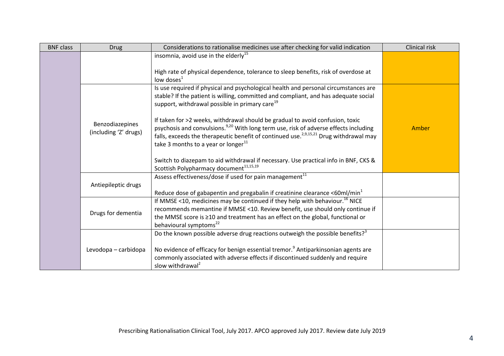| <b>BNF class</b> | <b>Drug</b>           | Considerations to rationalise medicines use after checking for valid indication                                                                                                                       | Clinical risk |
|------------------|-----------------------|-------------------------------------------------------------------------------------------------------------------------------------------------------------------------------------------------------|---------------|
|                  |                       | insomnia, avoid use in the elderly <sup>15</sup>                                                                                                                                                      |               |
|                  |                       |                                                                                                                                                                                                       |               |
|                  |                       | High rate of physical dependence, tolerance to sleep benefits, risk of overdose at                                                                                                                    |               |
|                  |                       | low doses $^1$                                                                                                                                                                                        |               |
|                  |                       | Is use required if physical and psychological health and personal circumstances are                                                                                                                   |               |
|                  |                       | stable? If the patient is willing, committed and compliant, and has adequate social                                                                                                                   |               |
|                  |                       | support, withdrawal possible in primary care <sup>19</sup>                                                                                                                                            |               |
|                  |                       |                                                                                                                                                                                                       |               |
|                  | Benzodiazepines       | If taken for >2 weeks, withdrawal should be gradual to avoid confusion, toxic                                                                                                                         |               |
|                  | (including 'Z' drugs) | psychosis and convulsions. <sup>9,20</sup> With long term use, risk of adverse effects including<br>falls, exceeds the therapeutic benefit of continued use. <sup>2,9,15,21</sup> Drug withdrawal may | Amber         |
|                  |                       | take 3 months to a year or longer $^{11}$                                                                                                                                                             |               |
|                  |                       |                                                                                                                                                                                                       |               |
|                  |                       | Switch to diazepam to aid withdrawal if necessary. Use practical info in BNF, CKS &                                                                                                                   |               |
|                  |                       | Scottish Polypharmacy document <sup>11,15,19</sup>                                                                                                                                                    |               |
|                  |                       | Assess effectiveness/dose if used for pain management <sup>11</sup>                                                                                                                                   |               |
|                  | Antiepileptic drugs   |                                                                                                                                                                                                       |               |
|                  |                       | Reduce dose of gabapentin and pregabalin if creatinine clearance <60 $ml/min1$                                                                                                                        |               |
|                  |                       | If MMSE <10, medicines may be continued if they help with behaviour. <sup>16</sup> NICE                                                                                                               |               |
|                  | Drugs for dementia    | recommends memantine if MMSE <10. Review benefit, use should only continue if                                                                                                                         |               |
|                  |                       | the MMSE score is ≥10 and treatment has an effect on the global, functional or                                                                                                                        |               |
|                  |                       | behavioural symptoms <sup>22</sup>                                                                                                                                                                    |               |
|                  |                       | Do the known possible adverse drug reactions outweigh the possible benefits? <sup>3</sup>                                                                                                             |               |
|                  |                       |                                                                                                                                                                                                       |               |
|                  | Levodopa - carbidopa  | No evidence of efficacy for benign essential tremor. <sup>9</sup> Antiparkinsonian agents are                                                                                                         |               |
|                  |                       | commonly associated with adverse effects if discontinued suddenly and require                                                                                                                         |               |
|                  |                       | slow withdrawal <sup>2</sup>                                                                                                                                                                          |               |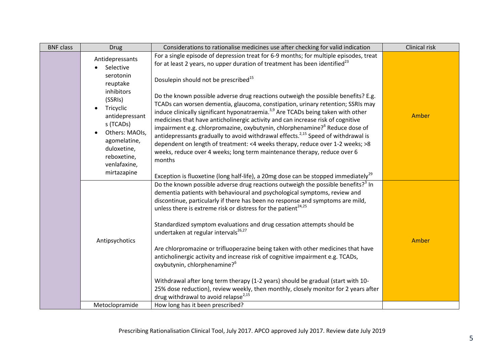| <b>BNF class</b> | <b>Drug</b>                                                                                                                                                                                                               | Considerations to rationalise medicines use after checking for valid indication                                                                                                                                                                                                                                                                                                                                                                                                                                                                                                                                                                                                                                                                                                                                                                                                                                                                                                                                           | Clinical risk |
|------------------|---------------------------------------------------------------------------------------------------------------------------------------------------------------------------------------------------------------------------|---------------------------------------------------------------------------------------------------------------------------------------------------------------------------------------------------------------------------------------------------------------------------------------------------------------------------------------------------------------------------------------------------------------------------------------------------------------------------------------------------------------------------------------------------------------------------------------------------------------------------------------------------------------------------------------------------------------------------------------------------------------------------------------------------------------------------------------------------------------------------------------------------------------------------------------------------------------------------------------------------------------------------|---------------|
|                  | Antidepressants<br>Selective<br>serotonin<br>reuptake<br>inhibitors<br>(SSRIs)<br>Tricyclic<br>antidepressant<br>s (TCADs)<br>Others: MAOIs,<br>agomelatine,<br>duloxetine,<br>reboxetine,<br>venlafaxine,<br>mirtazapine | For a single episode of depression treat for 6-9 months; for multiple episodes, treat<br>for at least 2 years, no upper duration of treatment has been identified <sup>23</sup><br>Dosulepin should not be prescribed <sup>15</sup><br>Do the known possible adverse drug reactions outweigh the possible benefits? E.g.<br>TCADs can worsen dementia, glaucoma, constipation, urinary retention; SSRIs may<br>induce clinically significant hyponatraemia. <sup>3,9</sup> Are TCADs being taken with other<br>medicines that have anticholinergic activity and can increase risk of cognitive<br>impairment e.g. chlorpromazine, oxybutynin, chlorphenamine? <sup>6</sup> Reduce dose of<br>antidepressants gradually to avoid withdrawal effects. <sup>2,15</sup> Speed of withdrawal is<br>dependent on length of treatment: <4 weeks therapy, reduce over 1-2 weeks; >8<br>weeks, reduce over 4 weeks; long term maintenance therapy, reduce over 6<br>months                                                         | Amber         |
|                  | Antipsychotics                                                                                                                                                                                                            | Exception is fluoxetine (long half-life), a 20mg dose can be stopped immediately <sup>29</sup><br>Do the known possible adverse drug reactions outweigh the possible benefits? <sup>3</sup> In<br>dementia patients with behavioural and psychological symptoms, review and<br>discontinue, particularly if there has been no response and symptoms are mild,<br>unless there is extreme risk or distress for the patient <sup>24,25</sup><br>Standardized symptom evaluations and drug cessation attempts should be<br>undertaken at regular intervals <sup>26,27</sup><br>Are chlorpromazine or trifluoperazine being taken with other medicines that have<br>anticholinergic activity and increase risk of cognitive impairment e.g. TCADs,<br>oxybutynin, chlorphenamine? <sup>6</sup><br>Withdrawal after long term therapy (1-2 years) should be gradual (start with 10-<br>25% dose reduction), review weekly, then monthly, closely monitor for 2 years after<br>drug withdrawal to avoid relapse <sup>2,15</sup> | Amber         |
|                  | Metoclopramide                                                                                                                                                                                                            | How long has it been prescribed?                                                                                                                                                                                                                                                                                                                                                                                                                                                                                                                                                                                                                                                                                                                                                                                                                                                                                                                                                                                          |               |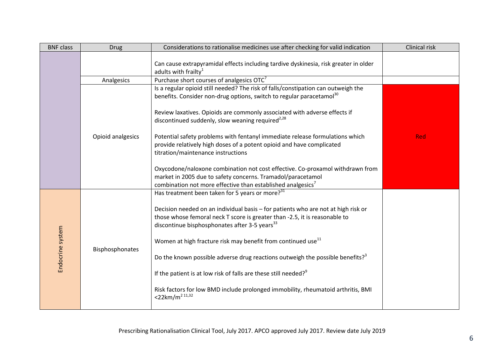| <b>BNF class</b> | <b>Drug</b>       | Considerations to rationalise medicines use after checking for valid indication                                                                                                                                                                                                                                                                                                                                                                                                                                                                                                                                                                                       | Clinical risk |
|------------------|-------------------|-----------------------------------------------------------------------------------------------------------------------------------------------------------------------------------------------------------------------------------------------------------------------------------------------------------------------------------------------------------------------------------------------------------------------------------------------------------------------------------------------------------------------------------------------------------------------------------------------------------------------------------------------------------------------|---------------|
|                  |                   | Can cause extrapyramidal effects including tardive dyskinesia, risk greater in older<br>adults with frailty <sup>1</sup>                                                                                                                                                                                                                                                                                                                                                                                                                                                                                                                                              |               |
|                  | Analgesics        | Purchase short courses of analgesics OTC <sup>7</sup>                                                                                                                                                                                                                                                                                                                                                                                                                                                                                                                                                                                                                 |               |
|                  |                   | Is a regular opioid still needed? The risk of falls/constipation can outweigh the<br>benefits. Consider non-drug options, switch to regular paracetamol <sup>30</sup>                                                                                                                                                                                                                                                                                                                                                                                                                                                                                                 |               |
|                  |                   | Review laxatives. Opioids are commonly associated with adverse effects if<br>discontinued suddenly, slow weaning required <sup>2,28</sup>                                                                                                                                                                                                                                                                                                                                                                                                                                                                                                                             |               |
|                  | Opioid analgesics | Potential safety problems with fentanyl immediate release formulations which<br>provide relatively high doses of a potent opioid and have complicated<br>titration/maintenance instructions                                                                                                                                                                                                                                                                                                                                                                                                                                                                           | <b>Red</b>    |
|                  |                   | Oxycodone/naloxone combination not cost effective. Co-proxamol withdrawn from<br>market in 2005 due to safety concerns. Tramadol/paracetamol<br>combination not more effective than established analgesics <sup>7</sup>                                                                                                                                                                                                                                                                                                                                                                                                                                               |               |
| Endocrine system | Bisphosphonates   | Has treatment been taken for 5 years or more? <sup>31</sup><br>Decision needed on an individual basis - for patients who are not at high risk or<br>those whose femoral neck T score is greater than -2.5, it is reasonable to<br>discontinue bisphosphonates after 3-5 years <sup>33</sup><br>Women at high fracture risk may benefit from continued use <sup>11</sup><br>Do the known possible adverse drug reactions outweigh the possible benefits? <sup>3</sup><br>If the patient is at low risk of falls are these still needed? <sup>9</sup><br>Risk factors for low BMD include prolonged immobility, rheumatoid arthritis, BMI<br><22km/m <sup>2 11,32</sup> |               |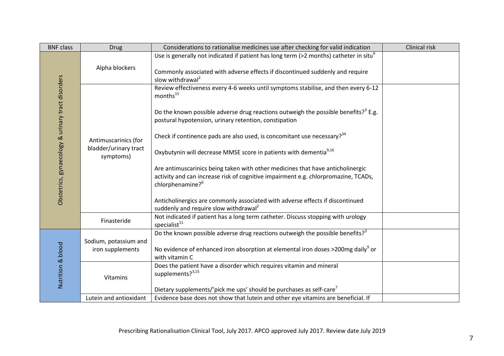| <b>BNF class</b>                                  | <b>Drug</b>                                                | Considerations to rationalise medicines use after checking for valid indication                                                                                                                                                                                                                                                                                                                                                                                                                                                                                                                                                                                                                                                                                                    | Clinical risk |
|---------------------------------------------------|------------------------------------------------------------|------------------------------------------------------------------------------------------------------------------------------------------------------------------------------------------------------------------------------------------------------------------------------------------------------------------------------------------------------------------------------------------------------------------------------------------------------------------------------------------------------------------------------------------------------------------------------------------------------------------------------------------------------------------------------------------------------------------------------------------------------------------------------------|---------------|
| Obstetrics, gynaecology & urinary tract disorders | Alpha blockers                                             | Use is generally not indicated if patient has long term (>2 months) catheter in situ <sup>9</sup><br>Commonly associated with adverse effects if discontinued suddenly and require<br>slow withdrawal <sup>2</sup>                                                                                                                                                                                                                                                                                                                                                                                                                                                                                                                                                                 |               |
|                                                   | Antimuscarinics (for<br>bladder/urinary tract<br>symptoms) | Review effectiveness every 4-6 weeks until symptoms stabilise, and then every 6-12<br>months <sup>15</sup><br>Do the known possible adverse drug reactions outweigh the possible benefits? <sup>3</sup> E.g.<br>postural hypotension, urinary retention, constipation<br>Check if continence pads are also used, is concomitant use necessary? $34$<br>Oxybutynin will decrease MMSE score in patients with dementia <sup>9,16</sup><br>Are antimuscarinics being taken with other medicines that have anticholinergic<br>activity and can increase risk of cognitive impairment e.g. chlorpromazine, TCADs,<br>chlorphenamine? <sup>6</sup><br>Anticholinergics are commonly associated with adverse effects if discontinued<br>suddenly and require slow withdrawal <sup>2</sup> |               |
|                                                   | Finasteride                                                | Not indicated if patient has a long term catheter. Discuss stopping with urology<br>specialist <sup>11</sup>                                                                                                                                                                                                                                                                                                                                                                                                                                                                                                                                                                                                                                                                       |               |
| Nutrition & blood                                 | Sodium, potassium and<br>iron supplements                  | Do the known possible adverse drug reactions outweigh the possible benefits? <sup>3</sup><br>No evidence of enhanced iron absorption at elemental iron doses >200mg daily <sup>9</sup> or<br>with vitamin C                                                                                                                                                                                                                                                                                                                                                                                                                                                                                                                                                                        |               |
|                                                   | Vitamins                                                   | Does the patient have a disorder which requires vitamin and mineral<br>supplements? <sup>3,15</sup><br>Dietary supplements/'pick me ups' should be purchases as self-care <sup>7</sup>                                                                                                                                                                                                                                                                                                                                                                                                                                                                                                                                                                                             |               |
|                                                   | Lutein and antioxidant                                     | Evidence base does not show that lutein and other eye vitamins are beneficial. If                                                                                                                                                                                                                                                                                                                                                                                                                                                                                                                                                                                                                                                                                                  |               |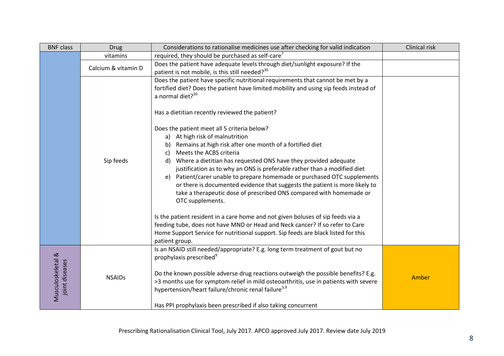| <b>BNF class</b>  | <b>Drug</b>         | Considerations to rationalise medicines use after checking for valid indication                                                                         | Clinical risk |
|-------------------|---------------------|---------------------------------------------------------------------------------------------------------------------------------------------------------|---------------|
|                   | vitamins            | required, they should be purchased as self-care <sup>7</sup>                                                                                            |               |
|                   | Calcium & vitamin D | Does the patient have adequate levels through diet/sunlight exposure? If the                                                                            |               |
|                   |                     | patient is not mobile, is this still needed? <sup>30</sup>                                                                                              |               |
|                   |                     | Does the patient have specific nutritional requirements that cannot be met by a                                                                         |               |
|                   |                     | fortified diet? Does the patient have limited mobility and using sip feeds instead of                                                                   |               |
|                   |                     | a normal diet? <sup>30</sup>                                                                                                                            |               |
|                   |                     | Has a dietitian recently reviewed the patient?                                                                                                          |               |
|                   |                     | Does the patient meet all 5 criteria below?                                                                                                             |               |
|                   |                     | a) At high risk of malnutrition                                                                                                                         |               |
|                   |                     | Remains at high risk after one month of a fortified diet<br>b)                                                                                          |               |
|                   | Sip feeds           | Meets the ACBS criteria<br>C)                                                                                                                           |               |
|                   |                     | Where a dietitian has requested ONS have they provided adequate<br>d)                                                                                   |               |
|                   |                     | justification as to why an ONS is preferable rather than a modified diet                                                                                |               |
|                   |                     | e) Patient/carer unable to prepare homemade or purchased OTC supplements<br>or there is documented evidence that suggests the patient is more likely to |               |
|                   |                     | take a therapeutic dose of prescribed ONS compared with homemade or                                                                                     |               |
|                   |                     | OTC supplements.                                                                                                                                        |               |
|                   |                     | Is the patient resident in a care home and not given boluses of sip feeds via a                                                                         |               |
|                   |                     | feeding tube, does not have MND or Head and Neck cancer? If so refer to Care                                                                            |               |
|                   |                     | Home Support Service for nutritional support. Sip feeds are black listed for this                                                                       |               |
|                   |                     | patient group.                                                                                                                                          |               |
|                   |                     | Is an NSAID still needed/appropriate? E.g. long term treatment of gout but no                                                                           |               |
| Musculoskeletal & |                     | prophylaxis prescribed <sup>9</sup>                                                                                                                     |               |
|                   |                     |                                                                                                                                                         |               |
|                   | <b>NSAIDs</b>       | Do the known possible adverse drug reactions outweigh the possible benefits? E.g.                                                                       | Amber         |
| joint diseases    |                     | >3 months use for symptom relief in mild osteoarthritis, use in patients with severe                                                                    |               |
|                   |                     | hypertension/heart failure/chronic renal failure <sup>3,9</sup>                                                                                         |               |
|                   |                     | Has PPI prophylaxis been prescribed if also taking concurrent                                                                                           |               |
|                   |                     |                                                                                                                                                         |               |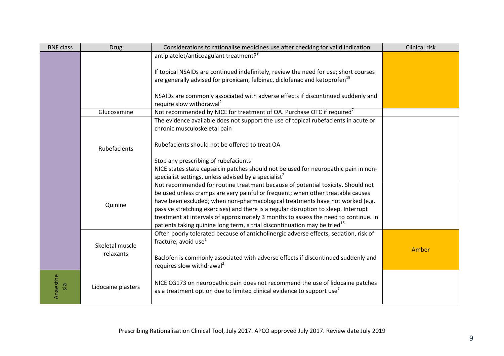| <b>BNF class</b> | <b>Drug</b>        | Considerations to rationalise medicines use after checking for valid indication                                                                                                | Clinical risk |
|------------------|--------------------|--------------------------------------------------------------------------------------------------------------------------------------------------------------------------------|---------------|
|                  |                    | antiplatelet/anticoagulant treatment? <sup>9</sup>                                                                                                                             |               |
|                  |                    | If topical NSAIDs are continued indefinitely, review the need for use; short courses<br>are generally advised for piroxicam, felbinac, diclofenac and ketoprofen <sup>15</sup> |               |
|                  |                    |                                                                                                                                                                                |               |
|                  |                    | NSAIDs are commonly associated with adverse effects if discontinued suddenly and<br>require slow withdrawal <sup>2</sup>                                                       |               |
|                  | Glucosamine        | Not recommended by NICE for treatment of OA. Purchase OTC if required <sup>7</sup>                                                                                             |               |
|                  |                    | The evidence available does not support the use of topical rubefacients in acute or<br>chronic musculoskeletal pain                                                            |               |
|                  | Rubefacients       | Rubefacients should not be offered to treat OA                                                                                                                                 |               |
|                  |                    | Stop any prescribing of rubefacients                                                                                                                                           |               |
|                  |                    | NICE states state capsaicin patches should not be used for neuropathic pain in non-<br>specialist settings, unless advised by a specialist <sup>7</sup>                        |               |
|                  |                    | Not recommended for routine treatment because of potential toxicity. Should not<br>be used unless cramps are very painful or frequent; when other treatable causes             |               |
|                  | Quinine            | have been excluded; when non-pharmacological treatments have not worked (e.g.<br>passive stretching exercises) and there is a regular disruption to sleep. Interrupt           |               |
|                  |                    | treatment at intervals of approximately 3 months to assess the need to continue. In<br>patients taking quinine long term, a trial discontinuation may be tried <sup>15</sup>   |               |
|                  | Skeletal muscle    | Often poorly tolerated because of anticholinergic adverse effects, sedation, risk of<br>fracture, avoid use <sup>1</sup>                                                       |               |
|                  | relaxants          | Baclofen is commonly associated with adverse effects if discontinued suddenly and<br>requires slow withdrawal <sup>2</sup>                                                     | Amber         |
| Anaesthe         | Lidocaine plasters | NICE CG173 on neuropathic pain does not recommend the use of lidocaine patches<br>as a treatment option due to limited clinical evidence to support use <sup>7</sup>           |               |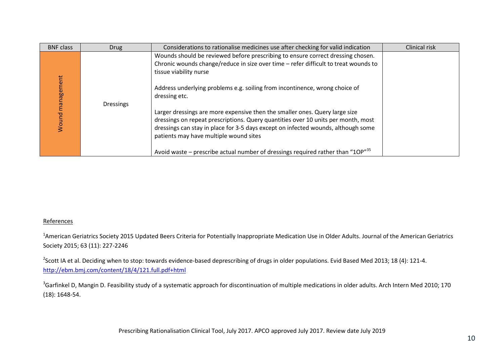| <b>BNF class</b>    | <b>Drug</b>      | Considerations to rationalise medicines use after checking for valid indication                                                                                                                                                                                                                                                                                                                                                                                      | Clinical risk |
|---------------------|------------------|----------------------------------------------------------------------------------------------------------------------------------------------------------------------------------------------------------------------------------------------------------------------------------------------------------------------------------------------------------------------------------------------------------------------------------------------------------------------|---------------|
| management<br>Nound | <b>Dressings</b> | Wounds should be reviewed before prescribing to ensure correct dressing chosen.<br>Chronic wounds change/reduce in size over time - refer difficult to treat wounds to<br>tissue viability nurse<br>Address underlying problems e.g. soiling from incontinence, wrong choice of<br>dressing etc.<br>Larger dressings are more expensive then the smaller ones. Query large size<br>dressings on repeat prescriptions. Query quantities over 10 units per month, most |               |
|                     |                  | dressings can stay in place for 3-5 days except on infected wounds, although some<br>patients may have multiple wound sites<br>Avoid waste – prescribe actual number of dressings required rather than "10 $P''^{35}$                                                                                                                                                                                                                                                |               |

## References

<sup>1</sup>American Geriatrics Society 2015 Updated Beers Criteria for Potentially Inappropriate Medication Use in Older Adults. Journal of the American Geriatrics Society 2015; 63 (11): 227-2246

<sup>2</sup>Scott IA et al. Deciding when to stop: towards evidence-based deprescribing of drugs in older populations. Evid Based Med 2013; 18 (4): 121-4. <http://ebm.bmj.com/content/18/4/121.full.pdf+html>

 $3$ Garfinkel D, Mangin D. Feasibility study of a systematic approach for discontinuation of multiple medications in older adults. Arch Intern Med 2010; 170 (18): 1648-54.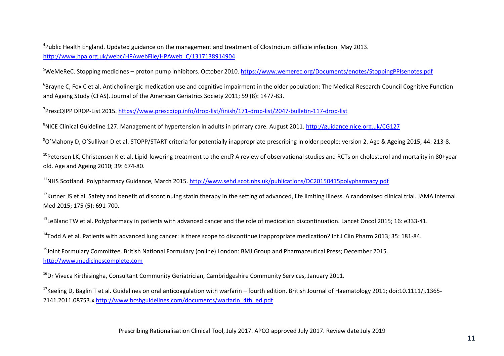4 Public Health England. Updated guidance on the management and treatment of Clostridium difficile infection. May 2013. [http://www.hpa.org.uk/webc/HPAwebFile/HPAweb\\_C/1317138914904](http://www.hpa.org.uk/webc/HPAwebFile/HPAweb_C/1317138914904)

<sup>5</sup>WeMeReC. Stopping medicines – proton pump inhibitors. October 2010.<https://www.wemerec.org/Documents/enotes/StoppingPPIsenotes.pdf>

 $^6$ Brayne C, Fox C et al. Anticholinergic medication use and cognitive impairment in the older population: The Medical Research Council Cognitive Function and Ageing Study (CFAS). Journal of the American Geriatrics Society 2011; 59 (8): 1477-83.

<sup>7</sup>PrescQIPP DROP-List 2015. <u>https://www.prescqipp.info/drop-list/finish/171-drop-list/2047-bulletin-117-drop-list</u>

<sup>8</sup>NICE Clinical Guideline 127. Management of hypertension in adults in primary care. August 2011.<http://guidance.nice.org.uk/CG127>

<sup>9</sup>O'Mahony D, O'Sullivan D et al. STOPP/START criteria for potentially inappropriate prescribing in older people: version 2. Age & Ageing 2015; 44: 213-8.

<sup>10</sup>Petersen LK, Christensen K et al. Lipid-lowering treatment to the end? A review of observational studies and RCTs on cholesterol and mortality in 80+year old. Age and Ageing 2010; 39: 674-80.

<sup>11</sup>NHS Scotland. Polypharmacy Guidance, March 2015. <http://www.sehd.scot.nhs.uk/publications/DC20150415polypharmacy.pdf>

<sup>12</sup>Kutner JS et al. Safety and benefit of discontinuing statin therapy in the setting of advanced, life limiting illness. A randomised clinical trial. JAMA Internal Med 2015; 175 (5): 691-700.

<sup>13</sup>LeBlanc TW et al. Polypharmacy in patients with advanced cancer and the role of medication discontinuation. Lancet Oncol 2015; 16: e333-41.

<sup>14</sup>Todd A et al. Patients with advanced lung cancer: is there scope to discontinue inappropriate medication? Int J Clin Pharm 2013; 35: 181-84.

<sup>15</sup>Joint Formulary Committee. British National Formulary (online) London: BMJ Group and Pharmaceutical Press; December 2015. [http://www.medicinescomplete.com](http://www.medicinescomplete.com/)

<sup>16</sup>Dr Viveca Kirthisingha, Consultant Community Geriatrician, Cambridgeshire Community Services, January 2011.

<sup>17</sup>Keeling D, Baglin T et al. Guidelines on oral anticoagulation with warfarin – fourth edition. British Journal of Haematology 2011; doi:10.1111/j.1365-2141.2011.08753.x [http://www.bcshguidelines.com/documents/warfarin\\_4th\\_ed.pdf](http://www.bcshguidelines.com/documents/warfarin_4th_ed.pdf)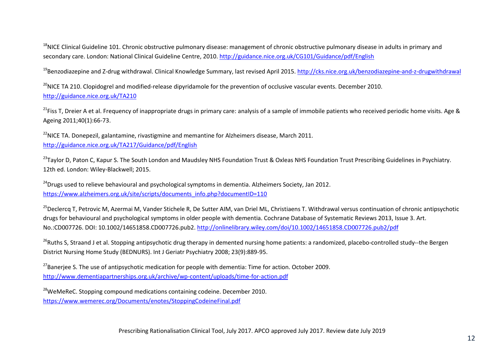<sup>18</sup>NICE Clinical Guideline 101. Chronic obstructive pulmonary disease: management of chronic obstructive pulmonary disease in adults in primary and secondary care. London: National Clinical Guideline Centre, 2010[. http://guidance.nice.org.uk/CG101/Guidance/pdf/English](http://guidance.nice.org.uk/CG101/Guidance/pdf/English)

<sup>19</sup>Benzodiazepine and Z-drug withdrawal. Clinical Knowledge Summary, last revised April 2015[. http://cks.nice.org.uk/benzodiazepine-and-z-drugwithdrawal](http://cks.nice.org.uk/benzodiazepine-and-z-drugwithdrawal)

 $^{20}$ NICE TA 210. Clopidogrel and modified-release dipyridamole for the prevention of occlusive vascular events. December 2010. <http://guidance.nice.org.uk/TA210>

<sup>21</sup>Fiss T. Dreier A et al. Frequency of inappropriate drugs in primary care: analysis of a sample of immobile patients who received periodic home visits. Age & Ageing 2011;40(1):66-73.

<sup>22</sup>NICE TA. Donepezil, galantamine, rivastigmine and memantine for Alzheimers disease. March 2011. <http://guidance.nice.org.uk/TA217/Guidance/pdf/English>

<sup>23</sup>Taylor D, Paton C, Kapur S. The South London and Maudsley NHS Foundation Trust & Oxleas NHS Foundation Trust Prescribing Guidelines in Psychiatry. 12th ed. London: Wiley-Blackwell; 2015.

<sup>24</sup>Drugs used to relieve behavioural and psychological symptoms in dementia. Alzheimers Society, Jan 2012. [https://www.alzheimers.org.uk/site/scripts/documents\\_info.php?documentID=110](https://www.alzheimers.org.uk/site/scripts/documents_info.php?documentID=110)

<sup>25</sup>Declercq T, Petrovic M, Azermai M, Vander Stichele R, De Sutter AIM, van Driel ML, Christiaens T. Withdrawal versus continuation of chronic antipsychotic drugs for behavioural and psychological symptoms in older people with dementia. Cochrane Database of Systematic Reviews 2013, Issue 3. Art. No.:CD007726. DOI: 10.1002/14651858.CD007726.pub2.<http://onlinelibrary.wiley.com/doi/10.1002/14651858.CD007726.pub2/pdf>

<sup>26</sup>Ruths S, Straand J et al. Stopping antipsychotic drug therapy in demented nursing home patients: a randomized, placebo-controlled study--the Bergen District Nursing Home Study (BEDNURS). Int J Geriatr Psychiatry 2008; 23(9):889-95.

<sup>27</sup>Banerjee S. The use of antipsychotic medication for people with dementia: Time for action. October 2009. <http://www.dementiapartnerships.org.uk/archive/wp-content/uploads/time-for-action.pdf>

<sup>28</sup>WeMeReC. Stopping compound medications containing codeine. December 2010. <https://www.wemerec.org/Documents/enotes/StoppingCodeineFinal.pdf>